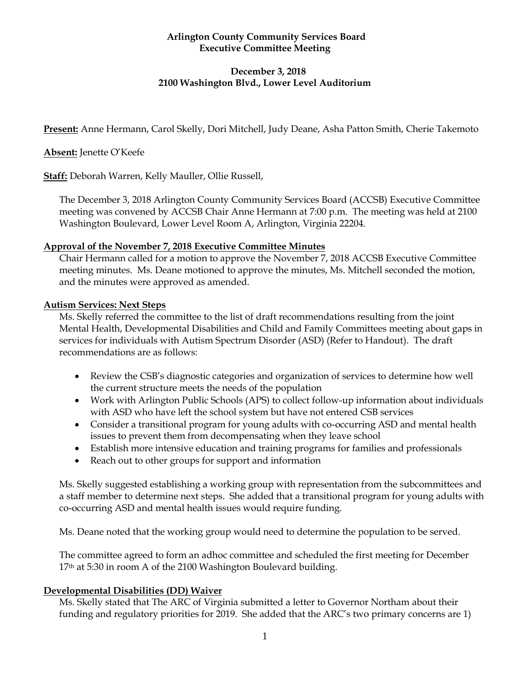### **Arlington County Community Services Board Executive Committee Meeting**

# **December 3, 2018 2100 Washington Blvd., Lower Level Auditorium**

**Present:** Anne Hermann, Carol Skelly, Dori Mitchell, Judy Deane, Asha Patton Smith, Cherie Takemoto

**Absent:** Jenette O'Keefe

**Staff:** Deborah Warren, Kelly Mauller, Ollie Russell,

The December 3, 2018 Arlington County Community Services Board (ACCSB) Executive Committee meeting was convened by ACCSB Chair Anne Hermann at 7:00 p.m. The meeting was held at 2100 Washington Boulevard, Lower Level Room A, Arlington, Virginia 22204.

### **Approval of the November 7, 2018 Executive Committee Minutes**

Chair Hermann called for a motion to approve the November 7, 2018 ACCSB Executive Committee meeting minutes. Ms. Deane motioned to approve the minutes, Ms. Mitchell seconded the motion, and the minutes were approved as amended.

### **Autism Services: Next Steps**

Ms. Skelly referred the committee to the list of draft recommendations resulting from the joint Mental Health, Developmental Disabilities and Child and Family Committees meeting about gaps in services for individuals with Autism Spectrum Disorder (ASD) (Refer to Handout). The draft recommendations are as follows:

- Review the CSB's diagnostic categories and organization of services to determine how well the current structure meets the needs of the population
- Work with Arlington Public Schools (APS) to collect follow-up information about individuals with ASD who have left the school system but have not entered CSB services
- Consider a transitional program for young adults with co-occurring ASD and mental health issues to prevent them from decompensating when they leave school
- Establish more intensive education and training programs for families and professionals
- Reach out to other groups for support and information

Ms. Skelly suggested establishing a working group with representation from the subcommittees and a staff member to determine next steps. She added that a transitional program for young adults with co-occurring ASD and mental health issues would require funding.

Ms. Deane noted that the working group would need to determine the population to be served.

The committee agreed to form an adhoc committee and scheduled the first meeting for December 17<sup>th</sup> at 5:30 in room A of the 2100 Washington Boulevard building.

### **Developmental Disabilities (DD) Waiver**

Ms. Skelly stated that The ARC of Virginia submitted a letter to Governor Northam about their funding and regulatory priorities for 2019. She added that the ARC's two primary concerns are 1)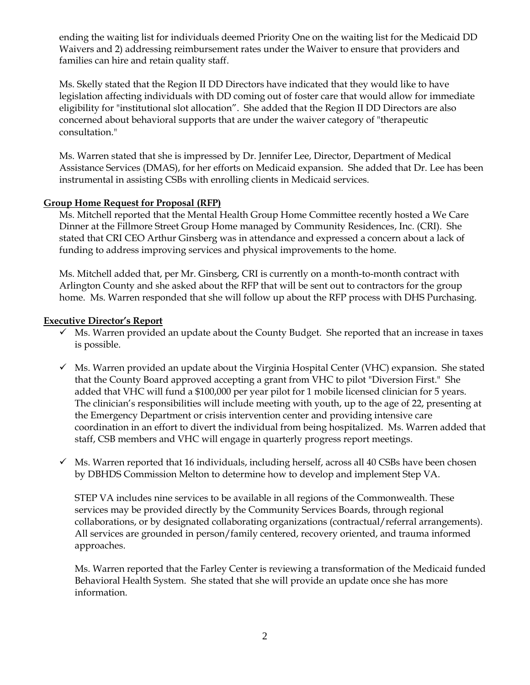ending the waiting list for individuals deemed Priority One on the waiting list for the Medicaid DD Waivers and 2) addressing reimbursement rates under the Waiver to ensure that providers and families can hire and retain quality staff.

Ms. Skelly stated that the Region II DD Directors have indicated that they would like to have legislation affecting individuals with DD coming out of foster care that would allow for immediate eligibility for "institutional slot allocation". She added that the Region II DD Directors are also concerned about behavioral supports that are under the waiver category of "therapeutic consultation."

Ms. Warren stated that she is impressed by Dr. Jennifer Lee, Director, Department of Medical Assistance Services (DMAS), for her efforts on Medicaid expansion. She added that Dr. Lee has been instrumental in assisting CSBs with enrolling clients in Medicaid services.

### **Group Home Request for Proposal (RFP)**

Ms. Mitchell reported that the Mental Health Group Home Committee recently hosted a We Care Dinner at the Fillmore Street Group Home managed by Community Residences, Inc. (CRI). She stated that CRI CEO Arthur Ginsberg was in attendance and expressed a concern about a lack of funding to address improving services and physical improvements to the home.

Ms. Mitchell added that, per Mr. Ginsberg, CRI is currently on a month-to-month contract with Arlington County and she asked about the RFP that will be sent out to contractors for the group home. Ms. Warren responded that she will follow up about the RFP process with DHS Purchasing.

### **Executive Director's Report**

- $\checkmark$  Ms. Warren provided an update about the County Budget. She reported that an increase in taxes is possible.
- $\checkmark$  Ms. Warren provided an update about the Virginia Hospital Center (VHC) expansion. She stated that the County Board approved accepting a grant from VHC to pilot "Diversion First." She added that VHC will fund a \$100,000 per year pilot for 1 mobile licensed clinician for 5 years. The clinician's responsibilities will include meeting with youth, up to the age of 22, presenting at the Emergency Department or crisis intervention center and providing intensive care coordination in an effort to divert the individual from being hospitalized. Ms. Warren added that staff, CSB members and VHC will engage in quarterly progress report meetings.
- $\checkmark$  Ms. Warren reported that 16 individuals, including herself, across all 40 CSBs have been chosen by DBHDS Commission Melton to determine how to develop and implement Step VA.

STEP VA includes nine services to be available in all regions of the Commonwealth. These services may be provided directly by the Community Services Boards, through regional collaborations, or by designated collaborating organizations (contractual/referral arrangements). All services are grounded in person/family centered, recovery oriented, and trauma informed approaches.

Ms. Warren reported that the Farley Center is reviewing a transformation of the Medicaid funded Behavioral Health System. She stated that she will provide an update once she has more information.